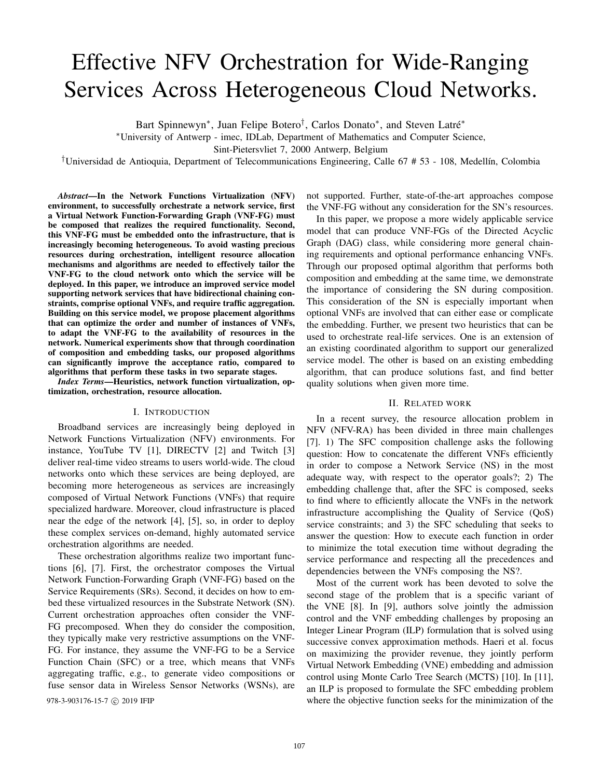# Effective NFV Orchestration for Wide-Ranging Services Across Heterogeneous Cloud Networks.

Bart Spinnewyn<sup>\*</sup>, Juan Felipe Botero<sup>†</sup>, Carlos Donato<sup>\*</sup>, and Steven Latré<sup>\*</sup>

<sup>∗</sup>University of Antwerp - imec, IDLab, Department of Mathematics and Computer Science,

Sint-Pietersvliet 7, 2000 Antwerp, Belgium

†Universidad de Antioquia, Department of Telecommunications Engineering, Calle 67 # 53 - 108, Medell´ın, Colombia

*Abstract*—In the Network Functions Virtualization (NFV) environment, to successfully orchestrate a network service, first a Virtual Network Function-Forwarding Graph (VNF-FG) must be composed that realizes the required functionality. Second, this VNF-FG must be embedded onto the infrastructure, that is increasingly becoming heterogeneous. To avoid wasting precious resources during orchestration, intelligent resource allocation mechanisms and algorithms are needed to effectively tailor the VNF-FG to the cloud network onto which the service will be deployed. In this paper, we introduce an improved service model supporting network services that have bidirectional chaining constraints, comprise optional VNFs, and require traffic aggregation. Building on this service model, we propose placement algorithms that can optimize the order and number of instances of VNFs, to adapt the VNF-FG to the availability of resources in the network. Numerical experiments show that through coordination of composition and embedding tasks, our proposed algorithms can significantly improve the acceptance ratio, compared to algorithms that perform these tasks in two separate stages.

*Index Terms*—Heuristics, network function virtualization, optimization, orchestration, resource allocation.

## I. INTRODUCTION

Broadband services are increasingly being deployed in Network Functions Virtualization (NFV) environments. For instance, YouTube TV [1], DIRECTV [2] and Twitch [3] deliver real-time video streams to users world-wide. The cloud networks onto which these services are being deployed, are becoming more heterogeneous as services are increasingly composed of Virtual Network Functions (VNFs) that require specialized hardware. Moreover, cloud infrastructure is placed near the edge of the network [4], [5], so, in order to deploy these complex services on-demand, highly automated service orchestration algorithms are needed.

These orchestration algorithms realize two important functions [6], [7]. First, the orchestrator composes the Virtual Network Function-Forwarding Graph (VNF-FG) based on the Service Requirements (SRs). Second, it decides on how to embed these virtualized resources in the Substrate Network (SN). Current orchestration approaches often consider the VNF-FG precomposed. When they do consider the composition, they typically make very restrictive assumptions on the VNF-FG. For instance, they assume the VNF-FG to be a Service Function Chain (SFC) or a tree, which means that VNFs aggregating traffic, e.g., to generate video compositions or fuse sensor data in Wireless Sensor Networks (WSNs), are

not supported. Further, state-of-the-art approaches compose the VNF-FG without any consideration for the SN's resources.

In this paper, we propose a more widely applicable service model that can produce VNF-FGs of the Directed Acyclic Graph (DAG) class, while considering more general chaining requirements and optional performance enhancing VNFs. Through our proposed optimal algorithm that performs both composition and embedding at the same time, we demonstrate the importance of considering the SN during composition. This consideration of the SN is especially important when optional VNFs are involved that can either ease or complicate the embedding. Further, we present two heuristics that can be used to orchestrate real-life services. One is an extension of an existing coordinated algorithm to support our generalized service model. The other is based on an existing embedding algorithm, that can produce solutions fast, and find better quality solutions when given more time.

#### II. RELATED WORK

In a recent survey, the resource allocation problem in NFV (NFV-RA) has been divided in three main challenges [7]. 1) The SFC composition challenge asks the following question: How to concatenate the different VNFs efficiently in order to compose a Network Service (NS) in the most adequate way, with respect to the operator goals?; 2) The embedding challenge that, after the SFC is composed, seeks to find where to efficiently allocate the VNFs in the network infrastructure accomplishing the Quality of Service (QoS) service constraints; and 3) the SFC scheduling that seeks to answer the question: How to execute each function in order to minimize the total execution time without degrading the service performance and respecting all the precedences and dependencies between the VNFs composing the NS?.

Most of the current work has been devoted to solve the second stage of the problem that is a specific variant of the VNE [8]. In [9], authors solve jointly the admission control and the VNF embedding challenges by proposing an Integer Linear Program (ILP) formulation that is solved using successive convex approximation methods. Haeri et al. focus on maximizing the provider revenue, they jointly perform Virtual Network Embedding (VNE) embedding and admission control using Monte Carlo Tree Search (MCTS) [10]. In [11], an ILP is proposed to formulate the SFC embedding problem 978-3-903176-15-7 ( $\degree$  2019 IFIP where the objective function seeks for the minimization of the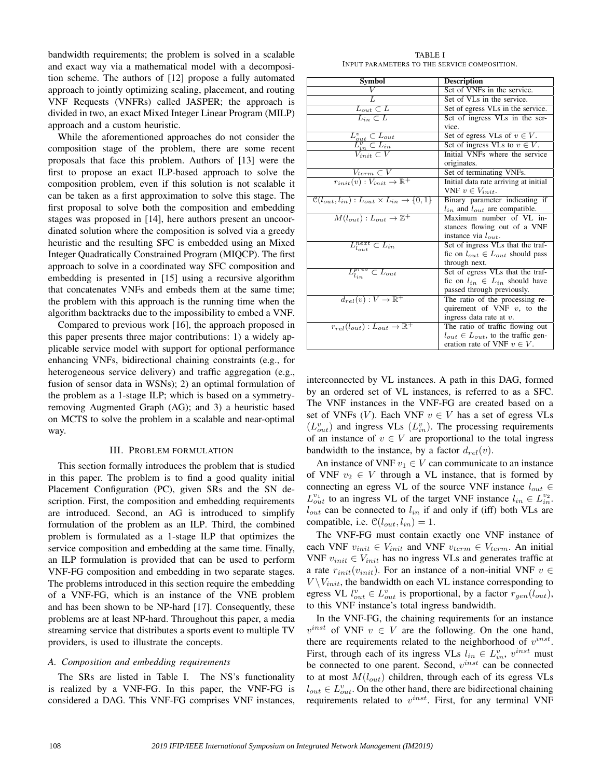bandwidth requirements; the problem is solved in a scalable and exact way via a mathematical model with a decomposition scheme. The authors of [12] propose a fully automated approach to jointly optimizing scaling, placement, and routing VNF Requests (VNFRs) called JASPER; the approach is divided in two, an exact Mixed Integer Linear Program (MILP) approach and a custom heuristic.

While the aforementioned approaches do not consider the composition stage of the problem, there are some recent proposals that face this problem. Authors of [13] were the first to propose an exact ILP-based approach to solve the composition problem, even if this solution is not scalable it can be taken as a first approximation to solve this stage. The first proposal to solve both the composition and embedding stages was proposed in [14], here authors present an uncoordinated solution where the composition is solved via a greedy heuristic and the resulting SFC is embedded using an Mixed Integer Quadratically Constrained Program (MIQCP). The first approach to solve in a coordinated way SFC composition and embedding is presented in [15] using a recursive algorithm that concatenates VNFs and embeds them at the same time; the problem with this approach is the running time when the algorithm backtracks due to the impossibility to embed a VNF.

Compared to previous work [16], the approach proposed in this paper presents three major contributions: 1) a widely applicable service model with support for optional performance enhancing VNFs, bidirectional chaining constraints (e.g., for heterogeneous service delivery) and traffic aggregation (e.g., fusion of sensor data in WSNs); 2) an optimal formulation of the problem as a 1-stage ILP; which is based on a symmetryremoving Augmented Graph (AG); and 3) a heuristic based on MCTS to solve the problem in a scalable and near-optimal way.

#### III. PROBLEM FORMULATION

This section formally introduces the problem that is studied in this paper. The problem is to find a good quality initial Placement Configuration (PC), given SRs and the SN description. First, the composition and embedding requirements are introduced. Second, an AG is introduced to simplify formulation of the problem as an ILP. Third, the combined problem is formulated as a 1-stage ILP that optimizes the service composition and embedding at the same time. Finally, an ILP formulation is provided that can be used to perform VNF-FG composition and embedding in two separate stages. The problems introduced in this section require the embedding of a VNF-FG, which is an instance of the VNE problem and has been shown to be NP-hard [17]. Consequently, these problems are at least NP-hard. Throughout this paper, a media streaming service that distributes a sports event to multiple TV providers, is used to illustrate the concepts.

### *A. Composition and embedding requirements*

The SRs are listed in Table I. The NS's functionality is realized by a VNF-FG. In this paper, the VNF-FG is considered a DAG. This VNF-FG comprises VNF instances,

TABLE I INPUT PARAMETERS TO THE SERVICE COMPOSITION.

| Symbol                                                                                                              | <b>Description</b>                          |
|---------------------------------------------------------------------------------------------------------------------|---------------------------------------------|
|                                                                                                                     | Set of VNFs in the service.                 |
|                                                                                                                     | Set of VLs in the service.                  |
| $L_{out} \subset L$                                                                                                 | Set of egress VLs in the service.           |
| $\overline{L_{in}} \subset L$                                                                                       | Set of ingress VLs in the ser-              |
|                                                                                                                     | vice.                                       |
|                                                                                                                     | Set of egress VLs of $v \in V$ .            |
| $\frac{L_{out}^v \subset L_{out}}{L_{in}^v \subset L_{in}}$<br>$\frac{L_{in}^v \subset L_{in}}{V_{init} \subset V}$ | Set of ingress VLs to $v \in V$ .           |
|                                                                                                                     | Initial VNFs where the service              |
|                                                                                                                     | originates.                                 |
| $V_{term} \subset V$                                                                                                | Set of terminating VNFs.                    |
| $r_{init}(v): V_{init} \rightarrow \mathbb{R}^+$                                                                    | Initial data rate arriving at initial       |
|                                                                                                                     | VNF $v \in V_{init}$ .                      |
| $\mathcal{C}(l_{out}, l_{in}): L_{out} \times L_{in} \rightarrow \{0, 1\}$                                          | Binary parameter indicating if              |
|                                                                                                                     | $l_{in}$ and $l_{out}$ are compatible.      |
| $M(l_{out}): L_{out} \rightarrow \mathbb{Z}^+$                                                                      | Maximum number of VL in-                    |
|                                                                                                                     | stances flowing out of a VNF                |
|                                                                                                                     | instance via $l_{out}$ .                    |
| $L_{l_{out}}^{next} \subset L_{in}$                                                                                 | Set of ingress VLs that the traf-           |
|                                                                                                                     | fic on $l_{out} \in L_{out}$ should pass    |
|                                                                                                                     | through next.                               |
| $L_{l_{in}}^{prev} \subset L_{out}$                                                                                 | Set of egress VLs that the traf-            |
|                                                                                                                     | fic on $l_{in} \in L_{in}$ should have      |
|                                                                                                                     | passed through previously.                  |
| $d_{rel}(v): V \to \mathbb{R}^+$                                                                                    | The ratio of the processing re-             |
|                                                                                                                     | quirement of VNF $v$ , to the               |
|                                                                                                                     | ingress data rate at $v$ .                  |
| $r_{rel}(l_{out}): L_{out} \rightarrow \mathbb{R}^+$                                                                | The ratio of traffic flowing out            |
|                                                                                                                     | $l_{out} \in L_{out}$ , to the traffic gen- |
|                                                                                                                     | eration rate of VNF $v \in V$ .             |

interconnected by VL instances. A path in this DAG, formed by an ordered set of VL instances, is referred to as a SFC. The VNF instances in the VNF-FG are created based on a set of VNFs (V). Each VNF  $v \in V$  has a set of egress VLs  $(L_{out}^v)$  and ingress VLs  $(L_{in}^v)$ . The processing requirements of an instance of  $v \in V$  are proportional to the total ingress bandwidth to the instance, by a factor  $d_{rel}(v)$ .

An instance of VNF  $v_1 \in V$  can communicate to an instance of VNF  $v_2 \in V$  through a VL instance, that is formed by connecting an egress VL of the source VNF instance  $l_{out} \in$  $L_{out}^{v_1}$  to an ingress VL of the target VNF instance  $l_{in} \in L_{in}^{v_2}$ .  $l_{out}$  can be connected to  $l_{in}$  if and only if (iff) both VLs are compatible, i.e.  $\mathcal{C}(l_{out}, l_{in}) = 1$ .

The VNF-FG must contain exactly one VNF instance of each VNF  $v_{init} \in V_{init}$  and VNF  $v_{term} \in V_{term}$ . An initial VNF  $v_{init} \in V_{init}$  has no ingress VLs and generates traffic at a rate  $r_{init}(v_{init})$ . For an instance of a non-initial VNF  $v \in$  $V \setminus V_{init}$ , the bandwidth on each VL instance corresponding to egress VL  $l_{out}^v \in L_{out}^v$  is proportional, by a factor  $r_{gen}(l_{out})$ , to this VNF instance's total ingress bandwidth.

In the VNF-FG, the chaining requirements for an instance  $v^{inst}$  of VNF  $v \in V$  are the following. On the one hand, there are requirements related to the neighborhood of  $v^{inst}$ . First, through each of its ingress VLs  $l_{in} \in L_{in}^v$ ,  $v^{inst}$  must be connected to one parent. Second,  $v^{inst}$  can be connected to at most  $M(l_{out})$  children, through each of its egress VLs  $l_{out} \in L_{out}^v$ . On the other hand, there are bidirectional chaining requirements related to  $v^{inst}$ . First, for any terminal VNF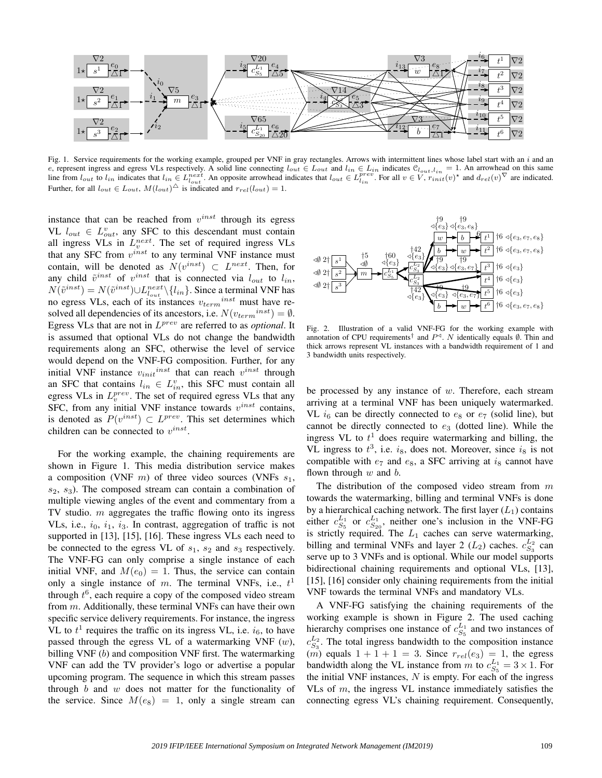

Fig. 1. Service requirements for the working example, grouped per VNF in gray rectangles. Arrows with intermittent lines whose label start with an  $i$  and an e, represent ingress and egress VLs respectively. A solid line connecting  $l_{out} \in L_{out}$  and  $l_{in} \in L_{in}$  indicates  $\mathcal{C}_{l_{out},l_{in}} = 1$ . An arrowhead on this same line from  $l_{out}$  to  $l_{in}$  indicates that  $l_{in} \in L_{l_{out}}^{next}$ . An opposite arrowhead indicates that  $l_{out} \in L_{l_{in}}^{prev}$ . For all  $v \in V$ ,  $r_{init}(v)^*$  and  $d_{rel}(v)^\nabla$  are indicated. Further, for all  $l_{out} \in L_{out}$ ,  $M(l_{out})^{\triangle}$  is indicated and  $r_{rel}(l_{out}) = 1$ .

instance that can be reached from  $v^{inst}$  through its egress VL  $l_{out} \in L_{out}^v$ , any SFC to this descendant must contain all ingress VLs in  $L_v^{next}$ . The set of required ingress VLs that any SFC from  $v^{inst}$  to any terminal VNF instance must contain, will be denoted as  $N(v^{inst}) \subset L^{next}$ . Then, for any child  $\tilde{v}^{inst}$  of  $v^{inst}$  that is connected via  $l_{out}$  to  $l_{in}$ ,  $N(\tilde{v}^{inst}) = N(\tilde{v}^{inst}) \cup L_{l_{out}}^{next} \setminus \{l_{in}\}.$  Since a terminal VNF has no egress VLs, each of its instances  $v_{term}^{inst}$  must have resolved all dependencies of its ancestors, i.e.  $N(v_{term}^{inst}) = \emptyset$ . Egress VLs that are not in L prev are referred to as *optional*. It is assumed that optional VLs do not change the bandwidth requirements along an SFC, otherwise the level of service would depend on the VNF-FG composition. Further, for any initial VNF instance  $v_{init}^{inst}$  that can reach  $v^{inst}$  through an SFC that contains  $l_{in} \in L_{in}^v$ , this SFC must contain all egress VLs in  $L_v^{prev}$ . The set of required egress VLs that any SFC, from any initial VNF instance towards  $v^{inst}$  contains, is denoted as  $P(v^{inst}) \subset L^{prev}$ . This set determines which children can be connected to  $v^{inst}$ .

For the working example, the chaining requirements are shown in Figure 1. This media distribution service makes a composition (VNF  $m$ ) of three video sources (VNFs  $s_1$ ,  $s_2, s_3$ ). The composed stream can contain a combination of multiple viewing angles of the event and commentary from a TV studio.  $m$  aggregates the traffic flowing onto its ingress VLs, i.e.,  $i_0$ ,  $i_1$ ,  $i_3$ . In contrast, aggregation of traffic is not supported in [13], [15], [16]. These ingress VLs each need to be connected to the egress VL of  $s_1$ ,  $s_2$  and  $s_3$  respectively. The VNF-FG can only comprise a single instance of each initial VNF, and  $M(e_0) = 1$ . Thus, the service can contain only a single instance of m. The terminal VNFs, i.e.,  $t<sup>1</sup>$ through  $t^6$ , each require a copy of the composed video stream from m. Additionally, these terminal VNFs can have their own specific service delivery requirements. For instance, the ingress VL to  $t<sup>1</sup>$  requires the traffic on its ingress VL, i.e.  $i<sub>6</sub>$ , to have passed through the egress VL of a watermarking VNF  $(w)$ , billing VNF (b) and composition VNF first. The watermarking VNF can add the TV provider's logo or advertise a popular upcoming program. The sequence in which this stream passes through  $b$  and  $w$  does not matter for the functionality of the service. Since  $M(e_8) = 1$ , only a single stream can



Fig. 2. Illustration of a valid VNF-FG for the working example with annotation of CPU requirements<sup>†</sup> and  $P^{\triangleleft}$ . N identically equals  $\emptyset$ . Thin and thick arrows represent VL instances with a bandwidth requirement of 1 and 3 bandwidth units respectively.

be processed by any instance of  $w$ . Therefore, each stream arriving at a terminal VNF has been uniquely watermarked. VL  $i_6$  can be directly connected to  $e_8$  or  $e_7$  (solid line), but cannot be directly connected to  $e_3$  (dotted line). While the ingress VL to  $t<sup>1</sup>$  does require watermarking and billing, the VL ingress to  $t^3$ , i.e.  $i_8$ , does not. Moreover, since  $i_8$  is not compatible with  $e_7$  and  $e_8$ , a SFC arriving at  $i_8$  cannot have flown through  $w$  and  $b$ .

The distribution of the composed video stream from  $m$ towards the watermarking, billing and terminal VNFs is done by a hierarchical caching network. The first layer  $(L_1)$  contains either  $c_{S_5}^{L_1}$  or  $c_{S_{20}}^{L_1}$ , neither one's inclusion in the VNF-FG is strictly required. The  $L_1$  caches can serve watermarking, billing and terminal VNFs and layer 2  $(L_2)$  caches.  $c_{S_3}^{L_2}$  can serve up to 3 VNFs and is optional. While our model supports bidirectional chaining requirements and optional VLs, [13], [15], [16] consider only chaining requirements from the initial VNF towards the terminal VNFs and mandatory VLs.

A VNF-FG satisfying the chaining requirements of the working example is shown in Figure 2. The used caching hierarchy comprises one instance of  $c_{S_5}^{L_1}$  and two instances of  $c_{S_3}^{L_2}$ . The total ingress bandwidth to the composition instance  $(m)$  equals  $1 + 1 + 1 = 3$ . Since  $r_{rel}(e_3) = 1$ , the egress bandwidth along the VL instance from m to  $c_{S_5}^{L_1} = 3 \times 1$ . For the initial VNF instances,  $N$  is empty. For each of the ingress VLs of  $m$ , the ingress VL instance immediately satisfies the connecting egress VL's chaining requirement. Consequently,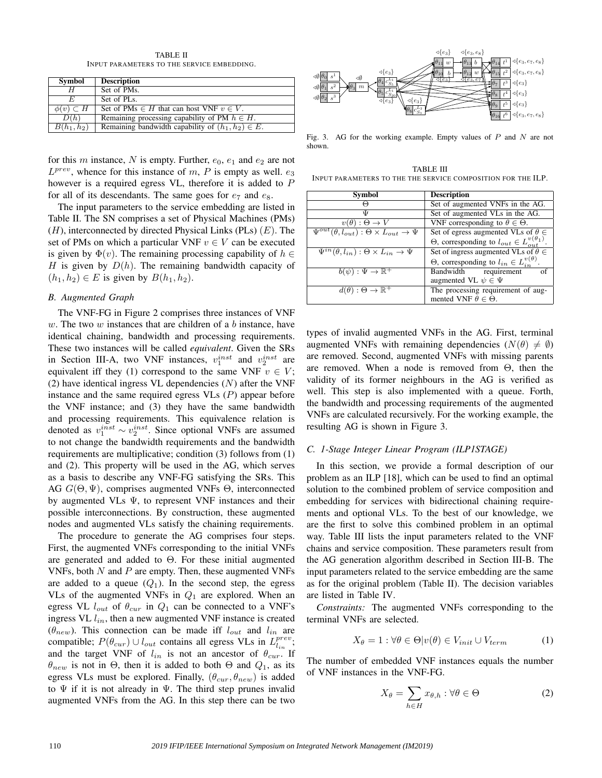TABLE II INPUT PARAMETERS TO THE SERVICE EMBEDDING.

| Symbol              | <b>Description</b>                                     |
|---------------------|--------------------------------------------------------|
|                     | Set of PMs.                                            |
|                     | Set of PL <sub>s</sub> .                               |
| $\phi(v) \subset H$ | Set of PMs $\in$ H that can host VNF $v \in V$ .       |
| D(h)                | Remaining processing capability of PM $h \in H$ .      |
| $B(h_1, h_2)$       | Remaining bandwidth capability of $(h_1, h_2) \in E$ . |

for this m instance, N is empty. Further,  $e_0$ ,  $e_1$  and  $e_2$  are not  $L^{prev}$ , whence for this instance of m, P is empty as well.  $e_3$ however is a required egress VL, therefore it is added to P for all of its descendants. The same goes for  $e_7$  and  $e_8$ .

The input parameters to the service embedding are listed in Table II. The SN comprises a set of Physical Machines (PMs)  $(H)$ , interconnected by directed Physical Links (PLs)  $(E)$ . The set of PMs on which a particular VNF  $v \in V$  can be executed is given by  $\Phi(v)$ . The remaining processing capability of  $h \in$ H is given by  $D(h)$ . The remaining bandwidth capacity of  $(h_1, h_2) \in E$  is given by  $B(h_1, h_2)$ .

# *B. Augmented Graph*

The VNF-FG in Figure 2 comprises three instances of VNF  $w$ . The two  $w$  instances that are children of a  $b$  instance, have identical chaining, bandwidth and processing requirements. These two instances will be called *equivalent*. Given the SRs in Section III-A, two VNF instances,  $v_1^{inst}$  and  $v_2^{inst}$  are equivalent iff they (1) correspond to the same VNF  $v \in V$ ; (2) have identical ingress VL dependencies  $(N)$  after the VNF instance and the same required egress  $V\mathcal{L}$  (P) appear before the VNF instance; and (3) they have the same bandwidth and processing requirements. This equivalence relation is denoted as  $v_1^{inst} \sim v_2^{inst}$ . Since optional VNFs are assumed to not change the bandwidth requirements and the bandwidth requirements are multiplicative; condition (3) follows from (1) and (2). This property will be used in the AG, which serves as a basis to describe any VNF-FG satisfying the SRs. This AG  $G(\Theta, \Psi)$ , comprises augmented VNFs  $\Theta$ , interconnected by augmented VLs Ψ, to represent VNF instances and their possible interconnections. By construction, these augmented nodes and augmented VLs satisfy the chaining requirements.

The procedure to generate the AG comprises four steps. First, the augmented VNFs corresponding to the initial VNFs are generated and added to  $\Theta$ . For these initial augmented VNFs, both  $N$  and  $P$  are empty. Then, these augmented VNFs are added to a queue  $(Q_1)$ . In the second step, the egress VLs of the augmented VNFs in  $Q_1$  are explored. When an egress VL  $l_{out}$  of  $\theta_{cur}$  in  $Q_1$  can be connected to a VNF's ingress VL  $l_{in}$ , then a new augmented VNF instance is created  $(\theta_{new})$ . This connection can be made iff  $l_{out}$  and  $l_{in}$  are compatible;  $P(\theta_{cur}) \cup l_{out}$  contains all egress VLs in  $L_{l_{in}}^{prev}$ ; and the target VNF of  $l_{in}$  is not an ancestor of  $\theta_{cur}$ . If  $\theta_{new}$  is not in  $\Theta$ , then it is added to both  $\Theta$  and  $Q_1$ , as its egress VLs must be explored. Finally,  $(\theta_{cur}, \theta_{new})$  is added to  $\Psi$  if it is not already in  $\Psi$ . The third step prunes invalid augmented VNFs from the AG. In this step there can be two



Fig. 3. AG for the working example. Empty values of  $P$  and  $N$  are not shown.

TABLE III INPUT PARAMETERS TO THE THE SERVICE COMPOSITION FOR THE ILP.

| Symbol                                                                            | <b>Description</b>                                                |
|-----------------------------------------------------------------------------------|-------------------------------------------------------------------|
|                                                                                   | Set of augmented VNFs in the AG.                                  |
| Ψ                                                                                 | Set of augmented VLs in the AG.                                   |
| $v(\theta): \Theta \to V$                                                         | VNF corresponding to $\theta \in \Theta$ .                        |
| $\overline{\Psi^{out}(\theta, l_{out})} : \Theta \times L_{out} \rightarrow \Psi$ | Set of egress augmented VLs of $\theta \in$                       |
|                                                                                   | $\Theta$ , corresponding to $l_{out} \in L_{out}^{v(\theta_1)}$ . |
| $\Psi^{in}(\theta, l_{in}): \Theta \times L_{in} \rightarrow \Psi$                | Set of ingress augmented VLs of $\theta \in$                      |
|                                                                                   | $\Theta$ , corresponding to $l_{in} \in L_{in}^{v(\theta)}$ .     |
| $b(\psi): \Psi \to \mathbb{R}^+$                                                  | Bandwidth requirement<br>of                                       |
|                                                                                   | augmented VL $\psi \in \Psi$                                      |
| $d(\theta): \Theta \to \mathbb{R}^+$                                              | The processing requirement of aug-                                |
|                                                                                   | mented VNF $\theta \in \Theta$ .                                  |

types of invalid augmented VNFs in the AG. First, terminal augmented VNFs with remaining dependencies  $(N(\theta) \neq \emptyset)$ are removed. Second, augmented VNFs with missing parents are removed. When a node is removed from  $\Theta$ , then the validity of its former neighbours in the AG is verified as well. This step is also implemented with a queue. Forth, the bandwidth and processing requirements of the augmented VNFs are calculated recursively. For the working example, the resulting AG is shown in Figure 3.

## *C. 1-Stage Integer Linear Program (ILP1STAGE)*

In this section, we provide a formal description of our problem as an ILP [18], which can be used to find an optimal solution to the combined problem of service composition and embedding for services with bidirectional chaining requirements and optional VLs. To the best of our knowledge, we are the first to solve this combined problem in an optimal way. Table III lists the input parameters related to the VNF chains and service composition. These parameters result from the AG generation algorithm described in Section III-B. The input parameters related to the service embedding are the same as for the original problem (Table II). The decision variables are listed in Table IV.

*Constraints:* The augmented VNFs corresponding to the terminal VNFs are selected.

$$
X_{\theta} = 1 : \forall \theta \in \Theta | v(\theta) \in V_{init} \cup V_{term}
$$
 (1)

The number of embedded VNF instances equals the number of VNF instances in the VNF-FG.

$$
X_{\theta} = \sum_{h \in H} x_{\theta, h} : \forall \theta \in \Theta \tag{2}
$$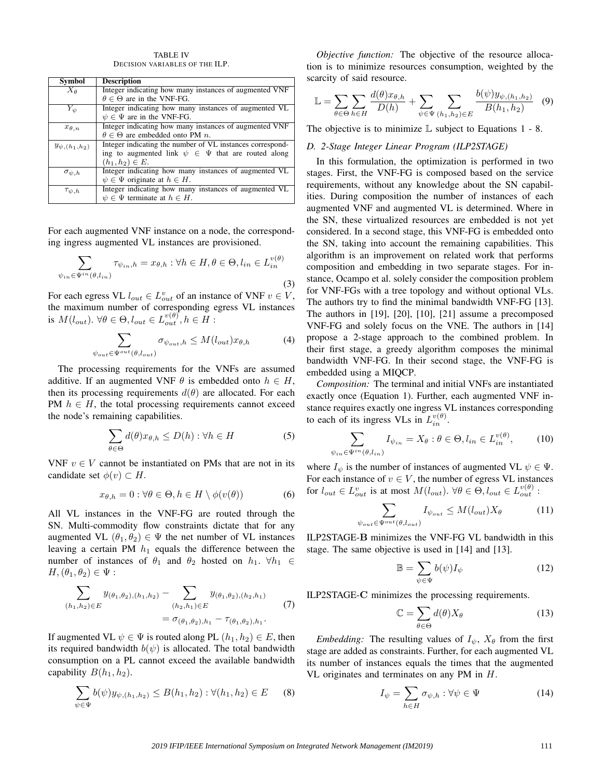TABLE IV DECISION VARIABLES OF THE ILP.

| Symbol               | <b>Description</b>                                          |  |
|----------------------|-------------------------------------------------------------|--|
| $X_{\theta}$         | Integer indicating how many instances of augmented VNF      |  |
|                      | $\theta \in \Theta$ are in the VNF-FG.                      |  |
| $Y_{\psi}$           | Integer indicating how many instances of augmented VL       |  |
|                      | $\psi \in \Psi$ are in the VNF-FG.                          |  |
| $x_{\theta,n}$       | Integer indicating how many instances of augmented VNF      |  |
|                      | $\theta \in \Theta$ are embedded onto PM n.                 |  |
| $y_{\psi,(h_1,h_2)}$ | Integer indicating the number of VL instances correspond-   |  |
|                      | ing to augmented link $\psi \in \Psi$ that are routed along |  |
|                      | $(h_1, h_2) \in E.$                                         |  |
| $\sigma_{\psi,h}$    | Integer indicating how many instances of augmented VL       |  |
|                      | $\psi \in \Psi$ originate at $h \in H$ .                    |  |
| $\tau_{\psi,h}$      | Integer indicating how many instances of augmented VL       |  |
|                      | $\psi \in \Psi$ terminate at $h \in H$ .                    |  |

For each augmented VNF instance on a node, the corresponding ingress augmented VL instances are provisioned.

$$
\sum_{\psi_{in} \in \Psi^{in}(\theta, l_{in})} \tau_{\psi_{in}, h} = x_{\theta, h} : \forall h \in H, \theta \in \Theta, l_{in} \in L_{in}^{v(\theta)}
$$
\n(3)

For each egress VL  $l_{out} \in L_{out}^v$  of an instance of VNF  $v \in V$ , the maximum number of corresponding egress VL instances is  $M(l_{out})$ .  $\forall \theta \in \Theta, l_{out} \in L_{out}^{v(\theta)}, h \in H$ :

$$
\sum_{\psi_{out} \in \Psi^{out}(\theta, l_{out})} \sigma_{\psi_{out}, h} \le M(l_{out}) x_{\theta, h}
$$
 (4)

The processing requirements for the VNFs are assumed additive. If an augmented VNF  $\theta$  is embedded onto  $h \in H$ , then its processing requirements  $d(\theta)$  are allocated. For each PM  $h \in H$ , the total processing requirements cannot exceed the node's remaining capabilities.

$$
\sum_{\theta \in \Theta} d(\theta) x_{\theta, h} \le D(h) : \forall h \in H \tag{5}
$$

VNF  $v \in V$  cannot be instantiated on PMs that are not in its candidate set  $\phi(v) \subset H$ .

$$
x_{\theta,h} = 0 : \forall \theta \in \Theta, h \in H \setminus \phi(v(\theta)) \tag{6}
$$

All VL instances in the VNF-FG are routed through the SN. Multi-commodity flow constraints dictate that for any augmented VL  $(\theta_1, \theta_2) \in \Psi$  the net number of VL instances leaving a certain PM  $h_1$  equals the difference between the number of instances of  $\theta_1$  and  $\theta_2$  hosted on  $h_1$ .  $\forall h_1 \in$  $H,(\theta_1,\theta_2)\in\Psi:$ 

$$
\sum_{(h_1, h_2) \in E} y_{(\theta_1, \theta_2), (h_1, h_2)} - \sum_{(h_2, h_1) \in E} y_{(\theta_1, \theta_2), (h_2, h_1)} \tag{7}
$$
\n
$$
= \sigma_{(\theta_1, \theta_2), h_1} - \tau_{(\theta_1, \theta_2), h_1}.
$$

If augmented VL  $\psi \in \Psi$  is routed along PL  $(h_1, h_2) \in E$ , then its required bandwidth  $b(\psi)$  is allocated. The total bandwidth consumption on a PL cannot exceed the available bandwidth capability  $B(h_1, h_2)$ .

$$
\sum_{\psi \in \Psi} b(\psi) y_{\psi,(h_1,h_2)} \leq B(h_1,h_2) : \forall (h_1,h_2) \in E \quad (8)
$$

*Objective function:* The objective of the resource allocation is to minimize resources consumption, weighted by the scarcity of said resource.

$$
\mathbb{L} = \sum_{\theta \in \Theta} \sum_{h \in H} \frac{d(\theta)x_{\theta,h}}{D(h)} + \sum_{\psi \in \Psi} \sum_{(h_1,h_2) \in E} \frac{b(\psi)y_{\psi,(h_1,h_2)}}{B(h_1,h_2)} \quad (9)
$$

The objective is to minimize  $\mathbb L$  subject to Equations 1 - 8.

## *D. 2-Stage Integer Linear Program (ILP2STAGE)*

In this formulation, the optimization is performed in two stages. First, the VNF-FG is composed based on the service requirements, without any knowledge about the SN capabilities. During composition the number of instances of each augmented VNF and augmented VL is determined. Where in the SN, these virtualized resources are embedded is not yet considered. In a second stage, this VNF-FG is embedded onto the SN, taking into account the remaining capabilities. This algorithm is an improvement on related work that performs composition and embedding in two separate stages. For instance, Ocampo et al. solely consider the composition problem for VNF-FGs with a tree topology and without optional VLs. The authors try to find the minimal bandwidth VNF-FG [13]. The authors in [19], [20], [10], [21] assume a precomposed VNF-FG and solely focus on the VNE. The authors in [14] propose a 2-stage approach to the combined problem. In their first stage, a greedy algorithm composes the minimal bandwidth VNF-FG. In their second stage, the VNF-FG is embedded using a MIQCP.

*Composition:* The terminal and initial VNFs are instantiated exactly once (Equation 1). Further, each augmented VNF instance requires exactly one ingress VL instances corresponding to each of its ingress VLs in  $L_{in}^{v(\theta)}$ .

$$
\sum_{n \in \Psi^{in}(\theta, l_{in})} I_{\psi_{in}} = X_{\theta} : \theta \in \Theta, l_{in} \in L_{in}^{v(\theta)},\tag{10}
$$

where  $I_{\psi}$  is the number of instances of augmented VL  $\psi \in \Psi$ . For each instance of  $v \in V$ , the number of egress VL instances for  $l_{out} \in L_{out}^v$  is at most  $M(l_{out})$ .  $\forall \theta \in \Theta, l_{out} \in L_{out}^{v(\theta)}$ :

 $\psi_i$ 

 $\psi_{ou}$ 

$$
\sum_{t \in \Psi^{out}(\theta, l_{out})} I_{\psi_{out}} \le M(l_{out}) X_{\theta} \tag{11}
$$

ILP2STAGE-B minimizes the VNF-FG VL bandwidth in this stage. The same objective is used in [14] and [13].

$$
\mathbb{B} = \sum_{\psi \in \Psi} b(\psi) I_{\psi} \tag{12}
$$

ILP2STAGE-C minimizes the processing requirements.

$$
\mathbb{C} = \sum_{\theta \in \Theta} d(\theta) X_{\theta} \tag{13}
$$

*Embedding:* The resulting values of  $I_{\psi}$ ,  $X_{\theta}$  from the first stage are added as constraints. Further, for each augmented VL its number of instances equals the times that the augmented VL originates and terminates on any PM in H.

$$
I_{\psi} = \sum_{h \in H} \sigma_{\psi, h} : \forall \psi \in \Psi \tag{14}
$$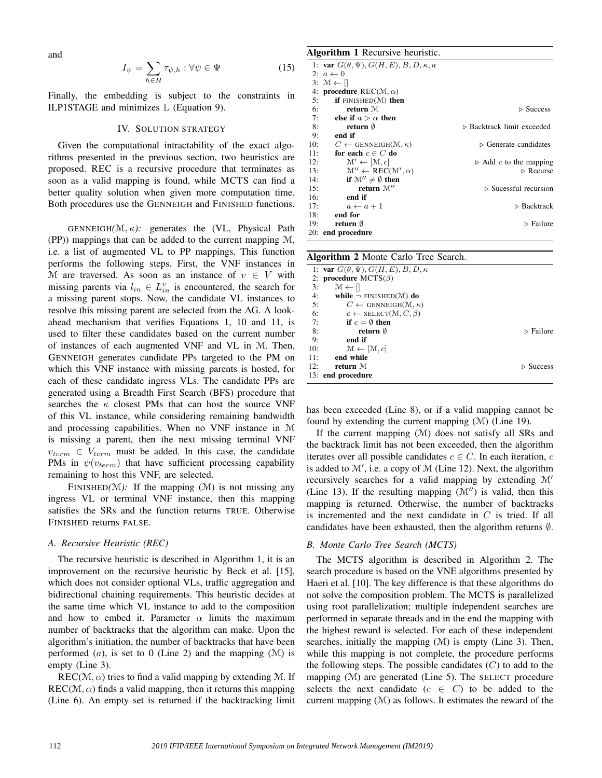and

$$
I_{\psi} = \sum_{h \in H} \tau_{\psi, h} : \forall \psi \in \Psi \tag{15}
$$

Finally, the embedding is subject to the constraints in ILP1STAGE and minimizes L (Equation 9).

# IV. SOLUTION STRATEGY

Given the computational intractability of the exact algorithms presented in the previous section, two heuristics are proposed. REC is a recursive procedure that terminates as soon as a valid mapping is found, while MCTS can find a better quality solution when given more computation time. Both procedures use the GENNEIGH and FINISHED functions.

GENNEIGH*(*M, κ*):* generates the (VL, Physical Path (PP)) mappings that can be added to the current mapping M, i.e. a list of augmented VL to PP mappings. This function performs the following steps. First, the VNF instances in M are traversed. As soon as an instance of  $v \in V$  with missing parents via  $l_{in} \in L_{in}^v$  is encountered, the search for a missing parent stops. Now, the candidate VL instances to resolve this missing parent are selected from the AG. A lookahead mechanism that verifies Equations 1, 10 and 11, is used to filter these candidates based on the current number of instances of each augmented VNF and VL in M. Then, GENNEIGH generates candidate PPs targeted to the PM on which this VNF instance with missing parents is hosted, for each of these candidate ingress VLs. The candidate PPs are generated using a Breadth First Search (BFS) procedure that searches the  $\kappa$  closest PMs that can host the source VNF of this VL instance, while considering remaining bandwidth and processing capabilities. When no VNF instance in M is missing a parent, then the next missing terminal VNF  $v_{term} \in V_{term}$  must be added. In this case, the candidate PMs in  $\psi(v_{term})$  that have sufficient processing capability remaining to host this VNF, are selected.

FINISHED $(M)$ : If the mapping  $(M)$  is not missing any ingress VL or terminal VNF instance, then this mapping satisfies the SRs and the function returns TRUE. Otherwise FINISHED returns FALSE.

## *A. Recursive Heuristic (REC)*

The recursive heuristic is described in Algorithm 1, it is an improvement on the recursive heuristic by Beck et al. [15], which does not consider optional VLs, traffic aggregation and bidirectional chaining requirements. This heuristic decides at the same time which VL instance to add to the composition and how to embed it. Parameter  $\alpha$  limits the maximum number of backtracks that the algorithm can make. Upon the algorithm's initiation, the number of backtracks that have been performed  $(a)$ , is set to 0 (Line 2) and the mapping  $(M)$  is empty (Line 3).

 $REC(\mathcal{M}, \alpha)$  tries to find a valid mapping by extending M. If  $REC(M, \alpha)$  finds a valid mapping, then it returns this mapping (Line 6). An empty set is returned if the backtracking limit

# Algorithm 1 Recursive heuristic.

| -   |                                                             |                                       |
|-----|-------------------------------------------------------------|---------------------------------------|
|     | 1: var $G(\theta, \Psi)$ , $G(H, E)$ , $B, D, \kappa, a$    |                                       |
|     | 2: $a \leftarrow 0$                                         |                                       |
|     | $3: \mathcal{M} \leftarrow \parallel$                       |                                       |
|     | 4: <b>procedure</b> $REC(M, \alpha)$                        |                                       |
| 5:  | if $FINISHED(\mathcal{M})$ then                             |                                       |
| 6:  | return M                                                    | $\triangleright$ Success              |
| 7:  | else if $a > \alpha$ then                                   |                                       |
| 8:  | return $\emptyset$                                          | ⊳ Backtrack limit exceeded            |
| 9:  | end if                                                      |                                       |
| 10: | $C \leftarrow$ GENNEIGH(M, $\kappa$ )                       | $\triangleright$ Generate candidates  |
| 11: | for each $c \in C$ do                                       |                                       |
| 12: | $\mathcal{M}' \leftarrow [\mathcal{M}, c]$                  | $\triangleright$ Add c to the mapping |
| 13: | $\mathcal{M}'' \leftarrow \text{REC}(\mathcal{M}', \alpha)$ | $\triangleright$ Recurse              |
| 14: | if $\mathcal{M}'' \neq \emptyset$ then                      |                                       |
| 15: | return $\mathcal{M}''$                                      | $\triangleright$ Sucessful recursion  |
| 16: | end if                                                      |                                       |
| 17: | $a \leftarrow a + 1$                                        | $\triangleright$ Backtrack            |
|     | $18:$ end for                                               |                                       |
| 19: | return $\emptyset$                                          | $\triangleright$ Failure              |
|     | 20: end procedure                                           |                                       |
|     |                                                             |                                       |

| <b>Algorithm 2</b> Monte Carlo Tree Search.           |  |  |  |  |
|-------------------------------------------------------|--|--|--|--|
| 1: var $G(\theta, \Psi)$ , $G(H, E)$ , $B, D, \kappa$ |  |  |  |  |
| 2: procedure $MCTS(\beta)$                            |  |  |  |  |
| 3:<br>$M \leftarrow \mathcal{U}$                      |  |  |  |  |
| 4:<br>while $\neg$ FINISHED( $\mathcal{M}$ ) do       |  |  |  |  |
| 5:<br>$C \leftarrow$ GENNEIGH(M, $\kappa$ )           |  |  |  |  |
| 6:<br>$c \leftarrow$ SELECT(M, C, $\beta$ )           |  |  |  |  |
| if $c = \emptyset$ then<br>7:                         |  |  |  |  |
| 8:<br>return 0<br>$\triangleright$ Failure            |  |  |  |  |
| 9:<br>end if                                          |  |  |  |  |
| 10:<br>$\mathcal{M} \leftarrow [\mathcal{M}, c]$      |  |  |  |  |
| end while<br>11:                                      |  |  |  |  |
| 12:<br>return M<br>$\triangleright$ Success           |  |  |  |  |
| 13: end procedure                                     |  |  |  |  |

has been exceeded (Line 8), or if a valid mapping cannot be found by extending the current mapping (M) (Line 19).

If the current mapping (M) does not satisfy all SRs and the backtrack limit has not been exceeded, then the algorithm iterates over all possible candidates  $c \in C$ . In each iteration, c is added to  $M'$ , i.e. a copy of  $M$  (Line 12). Next, the algorithm recursively searches for a valid mapping by extending  $\mathcal{M}'$ (Line 13). If the resulting mapping  $(\mathcal{M}'')$  is valid, then this mapping is returned. Otherwise, the number of backtracks is incremented and the next candidate in C is tried. If all candidates have been exhausted, then the algorithm returns ∅.

## *B. Monte Carlo Tree Search (MCTS)*

The MCTS algorithm is described in Algorithm 2. The search procedure is based on the VNE algorithms presented by Haeri et al. [10]. The key difference is that these algorithms do not solve the composition problem. The MCTS is parallelized using root parallelization; multiple independent searches are performed in separate threads and in the end the mapping with the highest reward is selected. For each of these independent searches, initially the mapping  $(M)$  is empty (Line 3). Then, while this mapping is not complete, the procedure performs the following steps. The possible candidates  $(C)$  to add to the mapping (M) are generated (Line 5). The SELECT procedure selects the next candidate  $(c \in C)$  to be added to the current mapping  $(M)$  as follows. It estimates the reward of the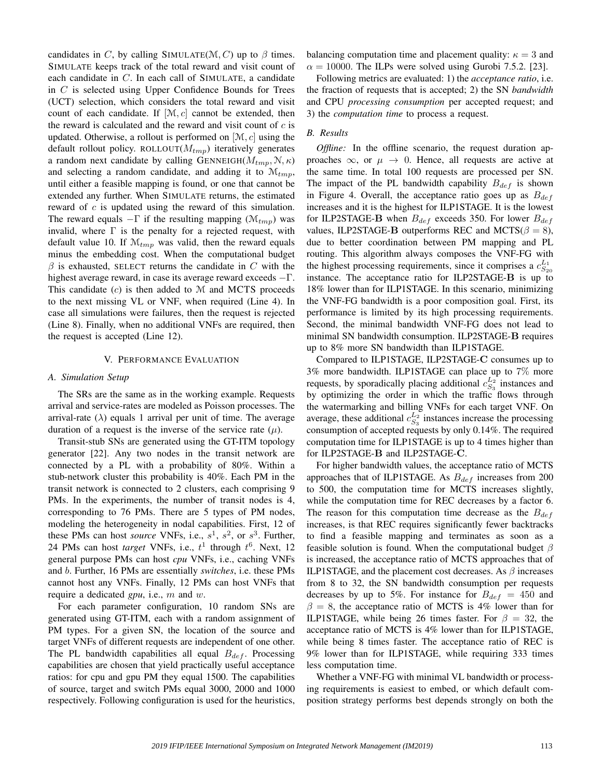candidates in C, by calling SIMULATE( $M, C$ ) up to  $\beta$  times. SIMULATE keeps track of the total reward and visit count of each candidate in C. In each call of SIMULATE, a candidate in  $C$  is selected using Upper Confidence Bounds for Trees (UCT) selection, which considers the total reward and visit count of each candidate. If  $[M, c]$  cannot be extended, then the reward is calculated and the reward and visit count of  $c$  is updated. Otherwise, a rollout is performed on  $[\mathcal{M}, c]$  using the default rollout policy. ROLLOUT( $M_{tmp}$ ) iteratively generates a random next candidate by calling GENNEIGH( $M_{tmp}, N, \kappa$ ) and selecting a random candidate, and adding it to  $\mathcal{M}_{tmp}$ , until either a feasible mapping is found, or one that cannot be extended any further. When SIMULATE returns, the estimated reward of c is updated using the reward of this simulation. The reward equals  $-\Gamma$  if the resulting mapping  $(\mathcal{M}_{tmp})$  was invalid, where  $\Gamma$  is the penalty for a rejected request, with default value 10. If  $\mathcal{M}_{tmp}$  was valid, then the reward equals minus the embedding cost. When the computational budget  $\beta$  is exhausted, SELECT returns the candidate in C with the highest average reward, in case its average reward exceeds  $-\Gamma$ . This candidate  $(c)$  is then added to  $M$  and MCTS proceeds to the next missing VL or VNF, when required (Line 4). In case all simulations were failures, then the request is rejected (Line 8). Finally, when no additional VNFs are required, then the request is accepted (Line 12).

#### V. PERFORMANCE EVALUATION

#### *A. Simulation Setup*

The SRs are the same as in the working example. Requests arrival and service-rates are modeled as Poisson processes. The arrival-rate ( $\lambda$ ) equals 1 arrival per unit of time. The average duration of a request is the inverse of the service rate  $(\mu)$ .

Transit-stub SNs are generated using the GT-ITM topology generator [22]. Any two nodes in the transit network are connected by a PL with a probability of 80%. Within a stub-network cluster this probability is 40%. Each PM in the transit network is connected to 2 clusters, each comprising 9 PMs. In the experiments, the number of transit nodes is 4, corresponding to 76 PMs. There are 5 types of PM nodes, modeling the heterogeneity in nodal capabilities. First, 12 of these PMs can host *source* VNFs, i.e.,  $s^1$ ,  $s^2$ , or  $s^3$ . Further, 24 PMs can host *target* VNFs, i.e.,  $t^1$  through  $t^6$ . Next, 12 general purpose PMs can host *cpu* VNFs, i.e., caching VNFs and b. Further, 16 PMs are essentially *switches*, i.e. these PMs cannot host any VNFs. Finally, 12 PMs can host VNFs that require a dedicated *gpu*, i.e., m and w.

For each parameter configuration, 10 random SNs are generated using GT-ITM, each with a random assignment of PM types. For a given SN, the location of the source and target VNFs of different requests are independent of one other. The PL bandwidth capabilities all equal  $B_{def}$ . Processing capabilities are chosen that yield practically useful acceptance ratios: for cpu and gpu PM they equal 1500. The capabilities of source, target and switch PMs equal 3000, 2000 and 1000 respectively. Following configuration is used for the heuristics, balancing computation time and placement quality:  $\kappa = 3$  and  $\alpha = 10000$ . The ILPs were solved using Gurobi 7.5.2. [23].

Following metrics are evaluated: 1) the *acceptance ratio*, i.e. the fraction of requests that is accepted; 2) the SN *bandwidth* and CPU *processing consumption* per accepted request; and 3) the *computation time* to process a request.

### *B. Results*

*Offline:* In the offline scenario, the request duration approaches  $\infty$ , or  $\mu \to 0$ . Hence, all requests are active at the same time. In total 100 requests are processed per SN. The impact of the PL bandwidth capability  $B_{def}$  is shown in Figure 4. Overall, the acceptance ratio goes up as  $B_{def}$ increases and it is the highest for ILP1STAGE. It is the lowest for ILP2STAGE-B when  $B_{def}$  exceeds 350. For lower  $B_{def}$ values, ILP2STAGE-B outperforms REC and MCTS( $\beta = 8$ ), due to better coordination between PM mapping and PL routing. This algorithm always composes the VNF-FG with the highest processing requirements, since it comprises a  $c_{S_{20}}^{L_1}$ instance. The acceptance ratio for ILP2STAGE-B is up to 18% lower than for ILP1STAGE. In this scenario, minimizing the VNF-FG bandwidth is a poor composition goal. First, its performance is limited by its high processing requirements. Second, the minimal bandwidth VNF-FG does not lead to minimal SN bandwidth consumption. ILP2STAGE-B requires up to 8% more SN bandwidth than ILP1STAGE.

Compared to ILP1STAGE, ILP2STAGE-C consumes up to 3% more bandwidth. ILP1STAGE can place up to 7% more requests, by sporadically placing additional  $c_{S_3}^{L_2}$  instances and by optimizing the order in which the traffic flows through the watermarking and billing VNFs for each target VNF. On average, these additional  $c_{S_3}^{L_2}$  instances increase the processing consumption of accepted requests by only 0.14%. The required computation time for ILP1STAGE is up to 4 times higher than for ILP2STAGE-B and ILP2STAGE-C.

For higher bandwidth values, the acceptance ratio of MCTS approaches that of ILP1STAGE. As  $B_{def}$  increases from 200 to 500, the computation time for MCTS increases slightly, while the computation time for REC decreases by a factor 6. The reason for this computation time decrease as the  $B_{def}$ increases, is that REC requires significantly fewer backtracks to find a feasible mapping and terminates as soon as a feasible solution is found. When the computational budget  $\beta$ is increased, the acceptance ratio of MCTS approaches that of ILP1STAGE, and the placement cost decreases. As  $\beta$  increases from 8 to 32, the SN bandwidth consumption per requests decreases by up to 5%. For instance for  $B_{def} = 450$  and  $\beta = 8$ , the acceptance ratio of MCTS is 4% lower than for ILP1STAGE, while being 26 times faster. For  $\beta = 32$ , the acceptance ratio of MCTS is 4% lower than for ILP1STAGE, while being 8 times faster. The acceptance ratio of REC is 9% lower than for ILP1STAGE, while requiring 333 times less computation time.

Whether a VNF-FG with minimal VL bandwidth or processing requirements is easiest to embed, or which default composition strategy performs best depends strongly on both the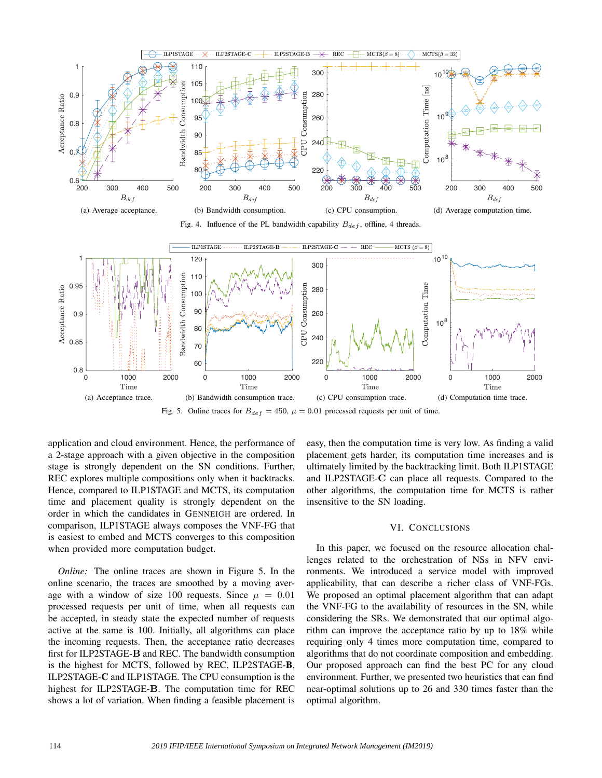

Fig. 5. Online traces for  $B_{def} = 450$ ,  $\mu = 0.01$  processed requests per unit of time.

application and cloud environment. Hence, the performance of a 2-stage approach with a given objective in the composition stage is strongly dependent on the SN conditions. Further, REC explores multiple compositions only when it backtracks. Hence, compared to ILP1STAGE and MCTS, its computation time and placement quality is strongly dependent on the order in which the candidates in GENNEIGH are ordered. In comparison, ILP1STAGE always composes the VNF-FG that is easiest to embed and MCTS converges to this composition when provided more computation budget.

*Online:* The online traces are shown in Figure 5. In the online scenario, the traces are smoothed by a moving average with a window of size 100 requests. Since  $\mu = 0.01$ processed requests per unit of time, when all requests can be accepted, in steady state the expected number of requests active at the same is 100. Initially, all algorithms can place the incoming requests. Then, the acceptance ratio decreases first for ILP2STAGE-B and REC. The bandwidth consumption is the highest for MCTS, followed by REC, ILP2STAGE-B, ILP2STAGE-C and ILP1STAGE. The CPU consumption is the highest for ILP2STAGE-B. The computation time for REC shows a lot of variation. When finding a feasible placement is easy, then the computation time is very low. As finding a valid placement gets harder, its computation time increases and is ultimately limited by the backtracking limit. Both ILP1STAGE and ILP2STAGE-C can place all requests. Compared to the other algorithms, the computation time for MCTS is rather insensitive to the SN loading.

# VI. CONCLUSIONS

In this paper, we focused on the resource allocation challenges related to the orchestration of NSs in NFV environments. We introduced a service model with improved applicability, that can describe a richer class of VNF-FGs. We proposed an optimal placement algorithm that can adapt the VNF-FG to the availability of resources in the SN, while considering the SRs. We demonstrated that our optimal algorithm can improve the acceptance ratio by up to 18% while requiring only 4 times more computation time, compared to algorithms that do not coordinate composition and embedding. Our proposed approach can find the best PC for any cloud environment. Further, we presented two heuristics that can find near-optimal solutions up to 26 and 330 times faster than the optimal algorithm.